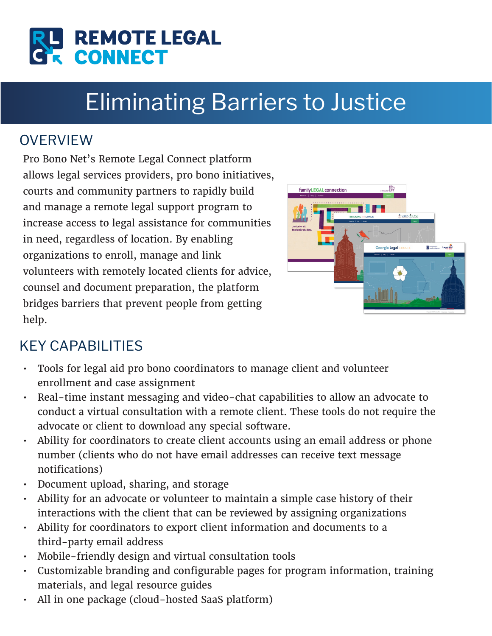

# Eliminating Barriers to Justice

#### **OVERVIEW**

Pro Bono Net's Remote Legal Connect platform allows legal services providers, pro bono initiatives, courts and community partners to rapidly build and manage a remote legal support program to increase access to legal assistance for communities in need, regardless of location. By enabling organizations to enroll, manage and link volunteers with remotely located clients for advice, counsel and document preparation, the platform bridges barriers that prevent people from getting help.



# KEY CAPABILITIES

- Tools for legal aid pro bono coordinators to manage client and volunteer enrollment and case assignment
- Real-time instant messaging and video-chat capabilities to allow an advocate to conduct a virtual consultation with a remote client. These tools do not require the advocate or client to download any special software.
- Ability for coordinators to create client accounts using an email address or phone number (clients who do not have email addresses can receive text message notifications)
- Document upload, sharing, and storage
- Ability for an advocate or volunteer to maintain a simple case history of their interactions with the client that can be reviewed by assigning organizations
- Ability for coordinators to export client information and documents to a third-party email address
- Mobile-friendly design and virtual consultation tools
- Customizable branding and configurable pages for program information, training materials, and legal resource guides
- All in one package (cloud-hosted SaaS platform)